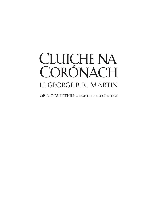# **CLUICHE NA CORÓNACH** Le George R.R. Martin

**OISÍN Ó MUIRTHILE** A D'AISTRIGH GO GAEILGE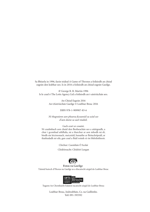Sa Bhéarla in 1996, faoin teideal A Game of Thrones a foilsíodh an chéad eagrán den leabhar seo. Is in 2016 a foilsíodh an chéad eagrán Gaeilge.

@ George R. R. Martin 1996 Is le cead ó The Lotts Agency Ltd a foilsíodh an t-aistriúchán seo.

> An Chéad Eagrán 2016 An tAistriúchán Gaeilge © Leabhar Breac 2016

#### ISBN 978-1-909907-83-6

#### *Ní thagraíonn aon phearsa ficseanúil sa scéal seo d'aon duine sa saol réadúil.*

Gach ceart ar cosaint. Ní ceadmhach aon chuid den fhoilseachán seo a atáirgeadh, a chur i gcomhad athfhála, ná a tharchur ar aon mhodh ná slí, bíodh sin leictreonach, meicniúil, bunaithe ar fhótachóipeáil, ar thaifeadadh nó eile, gan cead a fháil roimh ré ón bhfoilsitheoir.

Clóchur: Caomhán Ó Scolaí

#### Clódóireacht: Clódóirí Lurgan



Foras na Gaeilge

Táimid buíoch d'Fhoras na Gaeilge as a dtacaíocht airgid do Leabhar Breac



Tugann An Chomhairle Ealaíon tacaíocht airgid do Leabhar Breac

Leabhar Breac, Indreabhán, Co. na Gaillimhe. Teil: 091-593592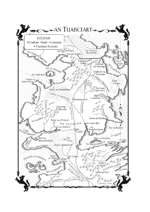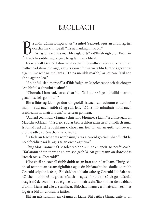## **BROLLACH**

 $\alpha$ Caróir dúinn iompú ar ais," a mhol Gearóir dóncha ina dtimpeall. "Tá na fianlaigh mar "An gcuireann na mairbh eagla ort?" a d'f<br>Ó Maolchraoibhe, agus gáire beag fann ar a bhéal. a chóir dúinn iompú ar ais," a mhol Gearóid, agus an choill ag éirí dorcha ina dtimpeall. "Tá na fianlaigh marbh."

"An gcuireann na mairbh eagla ort?" a d'fhiafraigh Sior Faomáir

Níor ghéill Gearóid don saigheadadh. Seanfhear ab ea é a raibh an leathchéad slánaithe aige, agus is iomaí fothiarna a bhí feicthe i gceannas aige in imeacht na mblianta. "Tá na mairbh marbh," ar seisean. "Níl aon ghnó againn leo."

"An bhfuil siad marbh?" a d'fhiafraigh an Maolchraobhach de chogar. "An bhfuil a chruthú againn?"

"Chonaic Liam iad," arsa Gearóid. "Má deir sé go bhfuilid marbh, glacaimse leis go bhfuil."

Bhí a fhios ag Liam go dtarraingeoidís isteach san achrann é luath nó mall — rud nach raibh sé ag súil leis. "Dúirt mo mháthair liom nach sceitheann na mairbh rún," ar seisean go mear.

"An rud ceannann céanna a dúirt mo bhuime, a Liam," a d'fhreagair an Maolchraobhach. "Ná creid rud ar bith a chloiseann tú ar bhrollach mná. Is iomaí rud atá le foghlaim ó chorpáin, fiú." Bhain an guth toll ró-ard croitheadh as crónachan na foraoise.

"Is fada an t-achar atá romhainn," arsa Gearóid go ciallmhar. "Ocht lá, nó b'fhéidir naoi lá, agus tá an oíche ag titim."

Thug Sior Faomáir Ó Maolchraoibhe súil ar an spéir go neafaiseach. "Tarlaíonn sé sin thart ar an am seo gach lá. An gcuireann an dorchadas isteach ort, a Ghearóid?"

Níor cheil an cochall tiubh dubh ná an brat aon ní ar Liam. Thuig sé ó bhéal teannta an tseansaighdiúra agus ón bhfiatacht ina shúile go raibh Gearóid coipthe le fearg. Bhí daichead bliain caite ag Gearóid i bhFaire na hOíche — ó bhí sé ina ghlas-stócach — agus níor thaitin sé leis go ndéanfaí beag is fiú de.Ach bhí rud éigin eile ann thairis sin. Taobh thiar den uabhar, d'aithin Liam rud eile sa seanfhear. Bhíothas in ann é a bhlaiseadh; teannas íogair a bhí an-chosúil le faitíos.

Bhí an míshuaimhneas céanna ar Liam. Bhí ceithre bliana caite ar an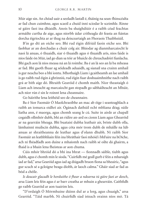Múr aige sin.An chéad uair a seoladh lastall é, tháinig na sean-fhinscéalta ar fad chun cuimhne, agus scaoil a chuid inní sciodar le sceimhle. Rinne sé gáire faoi ina dhiaidh. Anois ba shaighdiúir é a raibh céad feachtas armáilte curtha de aige, agus níorbh údar critheagla dó feasta an fiántas dorcha éigríochta ar ar thug na deisceartaigh an Fhoraois Thaibhsiúil.

B'in go dtí an oíche seo. Bhí rud éigin difriúil faoin oíche seo. Bhí faobhar ar an dorchadas a chuir colg air. Bhíodar ag dianmharcaíocht le naoi lá anuas, ó thuaidh, siar ó thuaidh agus ó thuaidh arís, níos faide is níos faide ón Múr, iad go dian sa tóir ar bhaicle de chreachadóirí fianlacha. Bhí gach aon lá níos measa ná an lá roimhe. Ba é an lá seo an lá ba mheasa ar fad. Bhí gaoth fhuar ag séideadh aduaidh, ag sianaíl sna crainn amhail is gur neacha beo a bhí iontu. Mhothaigh Liam i gcaitheamh an lae amhail is go raibh rud éigin á ghrinniú, rud éigin fuar doshuaimhnithe nach raibh grá ar bith aige dó. Bhraith Gearóid é chomh maith. Níor theastaigh ó Liam ach imeacht ag marcaíocht gan stopadh go sábháilteacht an Mhúir, ach níor rún é sin le roinnt lena cheannaire.

Go háirithe lena leithéid seo de cheannaire.

Ba é Sior Faomáir Ó Maolchraoibhe an mac ab óige i seanteaghlach a raibh an iomarca oidhrí air. Ógánach dathúil ocht mbliana déag; súile liatha ann, é maorga, agus chomh seang le cú. Suite in airde ar chapall cogaidh ollmhór dubh, bhí an ridire an-ard os cionn Liam agus Ghearóid ar na gearráin bheaga. Bhí buataisí dubha leathair air, bríste dubh olla, lámhainní muilscín dubha, agus cóta mór trom dubh de mháille na lúb anuas ar shraitheanna de leathar agus d'olann dhubh. Ní raibh Sior Faomáir an leathbhliain féin ina bhráthair faoi mhóid i bhFaire na hOíche, ach ní fhéadfadh aon duine a mhaíomh nach raibh sé oilte dá ghairm, a fhaid is a bhain lena fheisteas ar aon chuma.

Cúis mhór bhróid dó a bhí ina bhrat — fionnadh sáible, tiubh agus dubh, agus é chomh mín le síoda."Cuirfidh mé geall gurb é féin a mharaigh iad ar fad," arsa Gearóid agus iad ag diúgadh braon fíona sa bheairic,"agus gur scuch sé a gcloigne beaga díobh, ár laoch calma." Gháir siad ar fad as béal a chéile.

*Is deacair glacadh le horduithe ó fhear a ndearna tú gáire faoi ar deoch*, arsa Liam leis féin agus é ar barr creatha ar mhuin a ghearráin. Caithfidh go raibh Gearóid ar aon tuairim leis.

"D'ordaigh Ó Mórmhuine dúinn dul ar a lorg, agus chuaigh," arsa Gearóid. "Táid marbh. Ní chuirfidh siad isteach orainn níos mó. Tá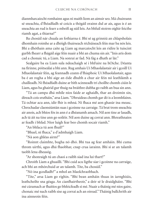dianmharcaíocht romhainn agus ní maith liom an aimsir seo. Má chuireann sé sneachta, d'fhéadfadh sé coicís a thógáil orainn dul ar ais, agus is é an sneachta an rud is fearr a mbeifí ag súil leis.An bhfuil stoirm oighir feicthe riamh agat, a thiarna?"

Ba chosúil nár chuala an fothiarna é. Bhí sé ag grinniú an chlapsholais dhomhain roimhe ar a dhóigh thuirseach réchúiseach féin mar ba nós leis. Bhí a dhóthain ama caite ag Liam ag marcaíocht leis an ridire le tuiscint gurbh fhearr a fhágáil aige féin nuair a bhí an chuma sin air."Inis arís dom cad a chonaic tú, a Liam. Na sonraí ar fad. Ná fág a dhath ar lár."

Sealgaire ba ea Liam sula ndeachaigh sé i bhFaire na hOíche. Déanta na fírinne, póitseálaí a bhí ann. Rug amhais Uí Mhaolalastair air i gcoill Uí Mhaolalastair féin, ag feannadh ceann d'fhiaphoic Uí Mhaolalastair, agus ba é an rogha a bhí aige an éide dhubh a chur air féin nó leathlámh a chailleadh. Ní fhéadfadh duine ar bith scinneadh trí choillte chomh ciúin le Liam, agus ba ghairid gur thuig na bráithre dubha go raibh an bua sin ann.

"Tá an campa dhá mhíle níos faide ar aghaidh, thar an droimín sin, díreach cois srutháin," arsa Liam."Dhruideas chomh gar dó is a leomhfainn. Tá ochtar acu ann, idir fhir is mhná. Ní fhaca mé aon ghasúr ina measc. Chrochadar claonsiúntán suas i gcoinne na carraige. Tá brat trom sneachta air anois, ach bhíos fós in ann é a dhéanamh amach. Níl aon tine ar lasadh, ach tá áit na tine ann go soiléir. Níl aon duine ag corraí ann. Bhreathnaíos ar feadh i bhfad. Níor luigh fear beo chomh socair riamh."

"An bhfaca tú aon fhuil?"

"Bhuel, ní fhaca," a d'admhaigh Liam.

"Ná aon ghléas airm?"

"Roinnt claimhte, bogha nó dhó. Bhí tua ag fear amháin. Bhí cuma throm uirthi, agus dhá fhaobhar, cnap crua iarainn. Bhí sí ar an talamh taobh lena dheasóg.

"Ar shonraigh tú an chaoi a raibh siad ina luí thart?"

Chroith Liam a ghuaillí. "Bhí cuid acu ligthe siar i gcoinne na carraige, ach bhí an mhórchuid ar an talamh. Tite, ba chosúil."

"Nó ina gcodladh?" a mhol an Maolchraobhach.

"Tite," arsa Liam go righin. "Bhí bean amháin thuas in iarnghiúis, leathcheilte sna géaga. An cianfhairtheoir," a deir sé le draidgháire. "Bhí mé cúramach ar fhaitíos go bhfeicfeadh sí mé. Nuair a tháinig mé níos gaire, chonaic mé nach raibh sise ag corraí ach an oiread."Tháinig ballchrith air ina ainneoin féin.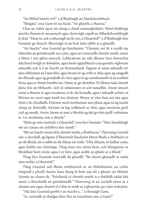"An bhfuil fuacht ort?" a d'fhiafraigh an Maolchraobhach.

"Beagán," arsa Liam trí na fiacla. "An ghaoth, a thiarna."

Chas an ridire óg ar ais chuig a chuid seansaighdiúirí. Shéid duilleoga sioctha tharstu le siosarnach agus chorraigh capall an Mhaolchraobhaigh le dod."Meas tú cad a mharaigh na fir seo, a Ghearóid?" a d'fhiafraigh Sior Faomáir go fánach. Shocraigh sé an brat fada sáible ar a ghuaillí.

"An fuacht," arsa Gearóid go lánchinnte. "Chonaic mé fir a reodh ina mbeatha an geimhreadh seo caite, agus arú anuraidh chomh maith, nuair a bhíos i mo ghlas-stócach. Labhraíonn an uile dhuine faoi shneachta daichead troigh ar doimhne, agus faoin ngéarbhach crua gaoithe oighreata aduaidh, ach is é an fuacht an fíornamhaid. Tagann sé aniar aduaidh ort níos slítheánta ná Liam féin, agus bíonn tú ag crith ar dtús agus ag cnagadh do dhraide agus ag greadadh do chos agus tú ag cuimhneamh tú ar scailtíní fíona agus ar thinte breátha teo. Dónn sé, go deimhin. Ní dhónn tada chomh dona leis an bhfuacht. Ach ní mhaireann sé ach tamaillín. Ansin isteach ionat a théann sé agus tosaíonn sé do do líonadh, agus i ndiaidh achair, ní bhíonn an neart agat troid ina choinne. Bíonn sé níos fusa suí síos agus titim i do chodladh. Deirtear nach mothaítear aon phian agus tú ag teacht chuig an deireadh. Airíonn tú lag codlatach ar dtús, agus tosaíonn gach rud ag meath.Ansin, bíonn sé mar a bheifeá ag dul go tóin poill i mbainne te. Go síochánta, mar a déarfá."

"Ráite go mín maisiúil, a Ghearóid," arsa Sior Faomáir."Níor shamhlaigh mé an cumas sin urlabhra leat riamh."

"Bhí an fuacht ionam féin chomh maith, a fhothiarna."Tharraing Gearóid siar a chochall, ag ligean d'Fhaomáir féachaint bhreá fhada a thabhairt ar an dá dhúid, áit a raibh an dá chluas air tráth."Dhá chluais, trí ladhar coise, agus lúidín mo chiotóige. Thug mise mo chosa liom, ach thángamar ar bhráthair liom reoite agus é ar faire, agus aoibh an gháire ar a bhéal."

Thug Sior Faomáir searradh dá ghuaillí. "Ba cheart gléasadh in éadaí níos teolaí, a Ghearóid."

Thug Gearóid súil fhiata nimhneach ar an bhfothiarna, na coilm timpeall a phoill cluaise lasta dearg le holc san áit a ghearr an Méistir Aemán na cluasa de. "Feicfimid cé chomh maith is a théifidh éadaí thú nuair a thiocfaidh an geimhreadh." Tharraing sé an cochall aníos ar a cheann arís agus chuach sé é féin in airde ar a ghearrán, go ciúin stalcánta.

"Má deir Gearóid gurbh é an fuacht a..." a thosaigh Liam.

"Ar cuireadh ar dualgas faire thú an tseachtain seo, a Liam?"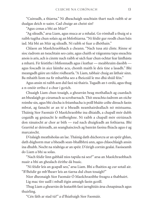"Cuireadh, a thiarna." Ní dheachaigh seachtain thart nach raibh sé ar dualgas deich n-uaire. Cad chuige an cheist sin?

"Agus conas a bhí an Múr?"

"Ag sileadh," arsa Liam, agus muca ar a mhalaí. Go rómhall a thuig sé a raibh tugtha chun solais ag an bhfothiarna."Ní féidir gur reodh chun báis iad. Má bhí an Múr ag sileadh. Ní raibh sé fuar a dhóthain."

Chlaon an Maolchraobhach a cheann. "Nach tusa atá cliste. Rinne sé sioc éadrom an tseachtain seo caite, agus chaith sé ráigeanna tapa sneachta anois is arís, ach is cinnte nach raibh sé sách fuar chun ochtar fear lánfhásta a mharú. Fir feistithe i bhfionnadh agus i leathar — meabhraím daoibh agus foscadh in aice láimhe acu, chomh maith le deis tine a lasadh." Bhí meangadh gáire an ridire ródhearfa."A Liam, tabhair chuig an láthair sinn. Ba mhaith liom na fir mharbha seo a fheiceáil le mo dhá shúil féin."

Agus ansin ní raibh aon dul faoi ná thairis. Tugadh an t-ordú, agus thug a n-onóir orthu é a chur i gcrích.

Chuaigh Liam chun tosaigh, a ghearrán beag mothallach ag cuardach an bhealaigh go cúramach sa scrobarnach. Thit sneachta éadrom an oíche roimhe sin, agus bhí clocha is fréamhacha is poill bháite ceilte díreach faoin mbrat, ag fanacht ar an té a bheadh neamhairdeallach nó místuama. Tháinig Sior Faomáir Ó Maolchraoibhe ina dhiaidh, a chapall mór dubh cogaidh ag gnúsacht le mífhoighne. Ní raibh a chapall mór oiriúnach don ránaíocht ar chor ar bith — rud nach dtuigfeadh an fothiarna. Bhí Gearóid ar deireadh, an seanghaiscíoch ag banrán faoina fhiacla agus é ag marcaíocht.

D'éalaigh meathsholas an lae. Tháinig dath dúchorcra ar an spéir ghlan, dath dúghorm mar a bheadh sean-bhallbhrú ann, agus chlaochlaigh ansin ina dhubh. Nocht na réaltóga ar an spéir. D'éirigh corrán gealaí. Faoiseamh do Liam a bhí sa solas.

"Nach féidir linn gabháil níos tapúla ná seo?" arsa an Maolchraobhach nuair a bhí an ghealach éirithe dá buaic.

"Ní féidir leis an gcapall seo," arsa Liam. Bhí a fhaitíos ag cur sotail air. "B'fhéidir go mb'fhearr leis an tiarna dul chun tosaigh?"

Níor dheonaigh Sior Faomáir Ó Maolchraoibhe freagra a thabhairt.

Lig mac tíre uaill i mball éigin amuigh faoin gcoill.

Thug Liam a ghearrán de leataobh faoi iarnghiúis ársa chnapánach agus thuirling.

"Cén fáth ar stad tú?" a d'fhiafraigh Sior Faomáir.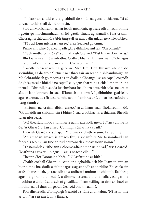"Is fearr an chuid eile a ghabháil de shiúl na gcos, a thiarna. Tá sé díreach taobh thall den droim sin."

Stad an Maolchraobhach ar feadh meandair, ag dearcadh amach roimhe i gcéin go machnamhach. Shéid gaoth fhuar, ag sianaíl trí na crainn. Chorraigh a chlóca mór sáible timpeall air mar a dhéanfadh neach leathbheo.

"Tá rud éigin mícheart anseo," arsa Gearóid go ciúin.

Rinne an ridire óg meangadh gáire dhímheasúil leis. "An bhfuil?"

"Nach mothaíonn tú é?" a d'fhiafraigh Gearóid."Éist leis an dorchadas."

Bhí Liam in ann é a mhothú. Ceithre bliana i bhFaire na hOíche agus ní raibh faitíos mar seo air riamh. Cad a bhí ann?

"Gaoth. Siosarnach na gcrann. Mac tíre. Cén fhuaim atá do do sceimhliú, a Ghearóid?" Nuair nár fhreagair an seanóir, shleamhnaigh an Maolchraobhach go maorga as an diallait. Cheangail sé an capall cogaidh de ghéag íseal, i bhfad ó na capaill eile, agus tharraing a chlaíomh mór óna thruaill. Dhrithligh seoda luachmhara ina dhorn agus rith solas na gealaí síos an lann lonrach chruach. B'iontach an t-arm é, é gaibhnithe i gcaisleán, agus é úrnua, de réir dealraimh, ach bhí amhras ar Liam ar beartaíodh le fearg riamh é.

"Éiríonn na crainn dlúth anseo," arsa Liam mar fholáireamh dó. "Gabhfaidh an claíomh sin i bhfastú sna craobhacha, a thiarna. Bheadh scian níos fearr."

"Má theastaíonn do chomhairle uaim, iarrfaidh mé ort í," arsa an tiarna óg. "A Ghearóid, fan anseo. Coinnigh súil ar na capaill."

D'éirigh Gearóid dá chapall. "Tá tine de dhíth orainn. Lasfad tine."

"An amadán amach is amach thú, a sheanfhir? Má tá namhaid san fhoraois seo, is í an tine an rud deireanach a theastaíonn uainn."

"Tá naimhde áirithe ann a choimeádfaidh tine uainn iad," arsa Gearóid. "Mathúna agus criúin agus ... agus neacha eile...."

Theann Sior Faomáir a bhéal. "Ní lasfar tine ar bith."

Chaith cochall Ghearóid scáth ar a aghaidh, ach bhí Liam in ann an bior nimhe ina shúile a aithint agus é ag stánadh ar an ridire. Bhí eagla air, ar feadh meandair, go rachadh an seanfhear i muinín an chlaímh. Ba bheag agus ba ghránna an rud é, a dhornchla smálaithe le hallas, eangaí ina fhaobhar ó dhianúsáid, ach ní gheallfadh Liam scilling iarainn ar shaol an fhothiarna dá dtarraingeodh Gearóid óna thruaill é.

Faoi dheireadh, d'iompaigh Gearóid a shúile chun talún."Ní lasfar tine ar bith," ar seisean faoina fhiacla.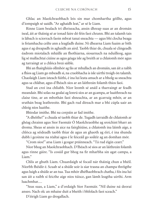Ghlac an Maolchraobhach leis sin mar chomhartha géillte, agus d'iompaigh sé uaidh. "Ar aghaidh leat," ar sé le Liam.

Rinne Liam bealach trí dhriseacha, ansin dhreap suas ar an dromán íseal, áit ar tháinig sé ar ionad faire dó féin faoi chrann. Bhí an talamh tais is lábach is sciorrach faoin mbrat tanaí sneachta — agus bhí clocha beaga is fréamhacha ceilte ann a leagfadh duine. Ní dhearna Liam fuaim ar bith agus é ag dreapadh in aghaidh an aird. Taobh thiar de, chuala sé clingeadh éadrom miotalach mháille an fhothiarna, siosarnach na nduilleog, agus lig sé mallachtaí ciúine as agus géaga ísle ag breith ar a chlaíomh mór agus ag tarraingt ar a chlóca breá sáible.

Bhí an fhairghiúis ollmhór ag fás ar mhullach an dromáin, san áit a raibh a fhios ag Liam go mbeadh sí, na craobhacha is ísle uirthi troigh ón talamh. Chaolaigh Liam isteach fúithi, é ina luí leata amach ar a bholg sa sneachta agus sa chlábar, agus d'fhéach síos ar an láithreán folamh thíos faoi.

Stad an croí ina chliabh. Níor leomh sé anáil a tharraingt ar feadh meandair. Bhí solas na gealaí ag lonrú síos ar an gcampa, ar luaithreach na claise tine, ar an mbothán faoi shneachta, ar an gcarraig mhór, ar an sruthán beag leathreoite. Bhí gach rud díreach mar a bhí cúpla uair an chloig níos luaithe.

Bhíodar imithe. Bhí na corpáin ar fad imithe.

"A dhéithe!" a chuala sé taobh thiar de. Tugadh iarraidh de chlaíomh ar ghéag chrainn agus Sior Faomáir Ó Maolchraoibhe ag sroichint bharr an droma. Sheas sé ansin in aice na fairghiúise, a chlaíomh ina láimh aige, a chlóca ag séideadh taobh thiar de agus an ghaoth ag éirí, é ina shunda dubh i gcoinne na réaltaí agus é le feiceáil go soiléir ag an domhan mór.

"Crom síos!" arsa Liam i gcogar práinneach. "Tá rud éigin cearr."

Níor bhog an Maolchraobhach. D'fhéach sé síos ar an láithreán folamh agus rinne gáire. "Is cosúil gur bhog na fir mharbha sin agat campa, a Liam."

Chlis ar ghuth Liam. Chuardaigh sé focail nár tháinig chun a bhéil. Níorbh fhéidir é. Scuab sé a shúile soir is siar trasna an champa thréigthe agus luigh a shúile ar an tua. Tua mhór dhéfhaobhrach chatha, í fós ina luí san áit a raibh sí feicthe aige níos túisce, gan lámh leagtha uirthi. Arm luachmhar....

"Seas suas, a Liam," a d'ordaigh Sior Faomáir. "Níl duine ná deoraí anseo. Nach olc an mhaise duit a bheith i bhfolach faoi sceach."

D'éirigh Liam go drogallach.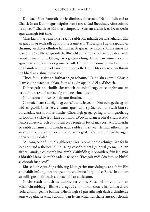D'fhéach Sior Faomáir air le dímheas follasach. "Ní fhillfidh mé ar Chaisleán an Duibh agus teipthe orm i mo chéad fheachtas. Aimseoimid na fir seo." Chaith sé súil thart timpeall. "Suas an crann leat. Déan deifir agus aimsigh toit tine."

Chas Liam thart gan tada a rá. Ní raibh aon mhaith cur ina aghaidh. Bhí an ghaoth ag séideadh agus bhí sí feanntach. Thosaigh sé ag dreapadh an chrainn, fairghiúis ollmhór liathghlas. Ba ghearr go raibh a lámha smeartha le sú agus é ceillte sa spíonlach. Bhrúcht an faitíos aníos ann, ag déanamh cnapáin ina ghoile. Ghuigh sé i gcogar chuig déithe gan ainm na coille agus tharraing a mhiodóg óna truaill. D'fháisc sé faoina dhraid í chun a dhá láimh a choimeád saor don dreapadh. Chuir blas an iarainn fhuair ina bhéal ar a shuaimhneas é.

Thíos faoi, scairt an fothiarna go tobann, "Cé hé sin agam?" Chuala Liam éiginnteacht sa ghlao. Stop sé ag dreapadh; d'éist; d'fhéach.

D'fhreagair an choill: siosarnach na nduilleog, caise oighreata an tsrutháin, scread ó scréachóg an tsneachta i gcéin.

Ní dhearna an tAos Alltair aon fhuaim.

Chonaic Liam rud éigin ag corraí thar a leiceann. Fíoracha geala ag sní tríd an gcoill. Chas sé a cheann agus fuair spléachadh ar scáth bán sa dorchadas. Ansin bhí sé imithe. Chorraigh géaga go lag ar an ngaoth, ag scríobadh a chéile le méara adhmaid. D'oscail Liam a bhéal chun scread fainice a ligeadh, ach ba chosúil gur reoigh na focail ina scornach. B'fhéidir go raibh dul amú air. B'fhéidir nach raibh ann ach éan, frithchaitheamh ar an sneachta, cleas éigin de chuid solas na gealaí. Cad é a bhí feicthe aige i ndeireadh na dála?

"A Liam, cá bhfuil tú?" a ghlaoigh Sior Faomáir aníos chuige."An féidir leat aon rud a fheiceáil?" Bhí sé ag casadh thart i gciorcal go mall, é san airdeall anois, a chlaíomh ina láimh.Caithfidh gur bhraith sé féin iad, mar a bhraith Liam. Ní raibh tada le feiscint. "Freagair mé! Cén fáth go bhfuil sé chomh fuar seo?"

Bhí sé fuar. Agus é ag crith, rug Liam greim níos daingne ar a fháir. Bhí a aghaidh brúite go teann i gcoinne choirt na fairghiúise. Bhí sé in ann an sú milis greamaitheach a aireachtáil ar a leiceann.

Nocht scáth amach as duibhe na coille. Sheas sé os comhair an Mhaolchraobhaigh. Bhí sé ard, agus é chomh lom crua le hiarann, a chuid feola chomh geal le bainne. Dhealraigh sé gur athraigh dath a chathéide agus é ag gluaiseacht; í chomh bán le sneachta nuachaite anseo, í chomh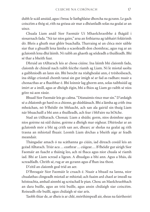dubh le scáil ansiúd, agus í breac le liathghlaise dhorcha na gcrann. Le gach coiscéim a thóg sé, rith na gréasa air mar a dhéanfadh solas na gealaí ar an uisce.

Chuala Liam anáil Sior Faomáir Uí Mhaolchraoibhe á fhágáil i siosarnach fada."Ná tar níos gaire," arsa an fothiarna ag tabhairt foláirimh dó. Bhris a ghuth mar ghlór buachalla. Tharraing sé an clóca mór sáible siar thar a ghuaillí lena lámha a scaoileadh don chomhrac, agus rug ar an gclaíomh lena dhá láimh. Ní raibh an ghaoth ag séideadh a thuilleadh. Bhí sé thar a bheith fuar.

Dhruid an tAlltarach leis ar chosa ciúine. Ina láimh bhí claíomh fada, claíomh de chineál nach raibh feicthe riamh ag Liam. Ní le miotal saolta a gaibhníodh an lann sin. Bhí beocht na réabghealaí ann, é tréshoilseach, ina shlige criostail chomh tanaí sin gur imigh sé ar fad as radharc nuair a chonacthas ar a fhaobhar é. Bhí loinnir lag ghorm ann, solas taibhsiúil ag imirt ar a imill, agus ar dhóigh éigin, bhí a fhios ag Liam go raibh sé níos géire ná aon rásúr.

Bhuail Sior Faomáir leis go calma. "Déanaimis rince mar sin." D'ardaigh sé a chlaíomh go hard os a chionn, go dúshlánach. Bhí a lámha ag crith óna mheáchan, nó b'fhéidir ón bhfuacht, ach san ala gairid sin thuig Liam nár bhuachaill a bhí ann a thuilleadh, ach fear i bhFaire na hOíche.

Stad an tAlltarach. Chonaic Liam a shúile; gorm, níos doimhne agus níos goirme ná súil duine, goirme a dhóigh mar oighear. Dhíríodar ar an gclaíomh mór a bhí ag crith san aer, dhearc ar sholas na gealaí ag rith trasna an mhiotail fhuair. Leomh Liam dóchas a bheith aige ar feadh meandair.

Thángadar amach ó na scáthanna go ciúin, iad díreach cosúil leis an gcéad Alltarach. Triúr acu ... ceathrar ... cúigear.... B'fhéidir gur airigh Sior Faomáir an fuacht a tháinig leo, ach ní fhaca agus níor chuala sé riamh iad. Bhí ar Liam scread a ligean. A dhualgas a bhí ann. Agus a bhás, dá screadfadh. Chrith sé, rug ar an gcrann agus d'fhan ina thost.

D'eitil an claíomh geal tríd an aer.

D'fhreagair Sior Faomáir le cruach é. Nuair a bhuail na lanna, níor chualathas clingeadh miotail ar mhiotal; ach fuaim ard chaol ar imeall na héisteachta, amhail ainmhí ag scréachaíl le pian.Chosc an Maolchraobhach an dara buille, agus an tríú buille, agus ansin chúlaigh siar coiscéim. Roiseadh eile buillí, agus chúlaigh sé siar arís.

Taobh thiar de, ar dheis is ar chlé, mórthimpeall air, sheas na fairtheoirí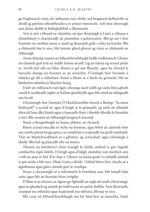go foighneach ciúin, do-aitheanta óna chéile, iad beagnach dofheicthe sa choill ag patrúin athraitheacha a n-armúr mínsnoite. Ach níor chorraigh aon duine díobh le hidirghabháil a dhéanamh.

Arís is arís a bhuail na claimhte, nó gur theastaigh ó Liam a chluasa a chumhdach ó chaoineadh ait pianmhar a gclonscairte. Bhí ga seá i Sior Faomáir ón saothar anois, a anáil ag déanamh gaile i solas na hoíche. Bhí a chlaíomh bán le sioc; bhí loinnir gheal ghorm ag rince ar chlaíomh an Alltaraigh.

Ansin tháinig cosaint an Mhaolchraobhaigh buille ródhéanach. Ghearr an claíomh geal tríd an máille faoina ascaill. Lig an tiarna óg scread péine as. Sceith fuil idir na lúba. Rinne sí gal san fhuacht, agus ba chosúil le lasracha dearga na braonta ar an sneachta. D'ardaigh Sior Faomáir a mhéara go dtí a chliathán. Nuair a bhain sé a lámh ón gcréacht, bhí an lámhainn mhuilscín fliuchta dearg.

Dúirt an tAlltarach rud éigin i dteanga nach raibh ag Liam; bhí a ghuth cosúil le scoilteadh oighir ar lochán geimhridh agus bhí smid an mhagaidh sna focail.

Chruinnigh Sior Faomáir Ó Maolchraoibhe fraoch a fheirge. "In ainm Roibeard!" a scread sé, agus d'éirigh sé le gnúsacht, ag ardú an chlaímh shiocúil lena dhá láimh agus á luascadh thart i dtaobh-bhuille le hiomlán a nirt. Bhí cosaint an Alltaraigh beagnach leisciúil.

Nuair a theagmhaigh na lanna, phléasc an chruach.

Rinne scread macalla in oíche na foraoise, agus bhris an claíomh mór sna céadta píosaí beaga géara, na smidiríní á scaipeadh ina gcith snáthaidí. Thit an Maolchraobhach ar a ghlúine, ag scréachaíl, agus chlúdaigh a shúile. Bhí fuil ag púscadh idir na méara.

Theann na fairtheoirí chun tosaigh le chéile, amhail is gur tugadh comhartha éigin dóibh. D'éirigh agus d'ísligh claimhte, tost marfach ann i rith an ama ar fad. B'ár fuar é. Ghearr na lanna geala trí mháille amhail is gur síoda a bhí ann. Dhún Liam a shúile. I bhfad thíos faoi, chuala sé a nguthanna agus gáire chomh géar le reodóga.

Nuair a chruinnigh sé a mhisneach le breathnú arís, bhí tamall fada caite, agus bhí an dromán thíos tréigthe.

D'fhan sé sa chrann, ar éigean go ligfeadh an eagla dó anáil a tharraingt, agus an ghealach ag snámh go mall trasna na spéire duibhe. Faoi dheireadh, crampaí ina mhatáin agus fuairnimh ina mhéara, dhreap sé síos.

Bhí corp an Mhaolchraobhaigh ina luí béal faoi sa sneachta, lámh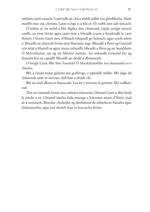amháin sínte amach. Gearradh an clóca tiubh sáible ina ghioblacha. Sínte marbh mar sin, chonaic Liam a óige is a bhí sé. Ní raibh ann ach stócach.

D'aithin sé an méid a bhí fágtha den chlaíomh cúpla troigh amach uaidh, an rinn briste agus casta mar a bheadh crann a buaileadh le caor thintrí. Chrom Liam síos, d'fhéach timpeall go faiteach, agus sciob aníos é. Bheadh an claíomh briste mar fhianaise aige. Bheadh a fhios ag Gearóid cén tátal a bhainfí as agus, mura mbeadh, bheadh a fhios ag an Seanbhéar Ó Mórmhuine, nó ag an Méistir Aemán. An mbeadh Gearóid fós ag fanacht leis na capaill? Bheadh air deifir a dhéanamh.

D'éirigh Liam. Bhí Sior Faomáir Ó Maolchraoibhe ina sheasamh os a chionn.

Bhí a chuid éadaí galánta ina gcifleoga, a aghaidh millte. Bhí slige dá chlaíomh sáite in imreasc dall bán a shúile clé.

Bhí an tsúil dheas ar lánoscailt. Las an t-imreasc le goirme. Bhí radharc inti.

Thit an claíomh briste óna mhéara faiteacha. Dhruid Liam a dhá shúil le paidir a rá. Chuimil lámha fada maorga a leiceann, ansin d'fháisc siad ar a scornach. Bhíodar clúdaithe ag lámhainní de mhuilscín fíneálta agus fuilsmeartha, agus iad chomh fuar le leacracha ifrinn.